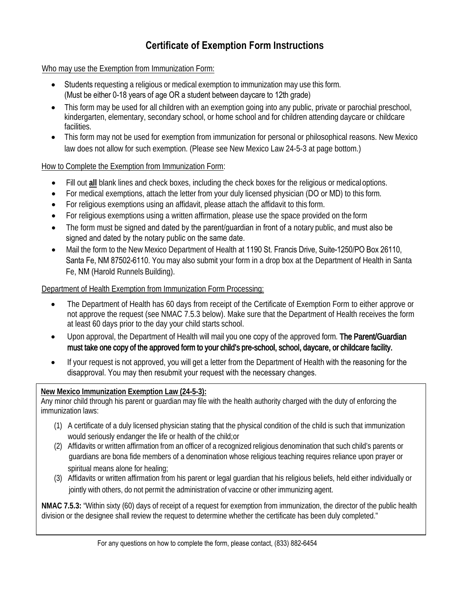## **Certificate of Exemption Form Instructions**

Who may use the Exemption from Immunization Form:

- Students requesting a religious or medical exemption to immunization may use this form. (Must be either 0-18 years of age OR a student between daycare to 12th grade)
- This form may be used for all children with an exemption going into any public, private or parochial preschool, kindergarten, elementary, secondary school, or home school and for children attending daycare or childcare facilities.
- This form may not be used for exemption from immunization for personal or philosophical reasons. New Mexico law does not allow for such exemption. (Please see New Mexico Law 24-5-3 at page bottom.)

#### How to Complete the Exemption from Immunization Form:

- Fill out **all** blank lines and check boxes, including the check boxes for the religious or medicaloptions.
- For medical exemptions, attach the letter from your duly licensed physician (DO or MD) to this form.
- For religious exemptions using an affidavit, please attach the affidavit to this form.
- For religious exemptions using a written affirmation, please use the space provided on the form
- The form must be signed and dated by the parent/guardian in front of a notary public, and must also be signed and dated by the notary public on the same date.
- Mail the form to the New Mexico Department of Health at 1190 St. Francis Drive, Suite-1250/PO Box 26110, Santa Fe, NM 87502-6110. You may also submit your form in a drop box at the Department of Health in Santa Fe, NM (Harold Runnels Building).

#### Department of Health Exemption from Immunization Form Processing:

- The Department of Health has 60 days from receipt of the Certificate of Exemption Form to either approve or not approve the request (see NMAC 7.5.3 below). Make sure that the Department of Health receives the form at least 60 days prior to the day your child starts school.
- Upon approval, the Department of Health will mail you one copy of the approved form. The Parent/Guardian must take one copy of the approved form to your child's pre-school, school, daycare, or childcare facility.
- If your request is not approved, you will get a letter from the Department of Health with the reasoning for the disapproval. You may then resubmit your request with the necessary changes.

#### **New Mexico Immunization Exemption Law (24-5-3):**

Any minor child through his parent or guardian may file with the health authority charged with the duty of enforcing the immunization laws:

- (1) A certificate of a duly licensed physician stating that the physical condition of the child is such that immunization would seriously endanger the life or health of the child;or
- (2) Affidavits or written affirmation from an officer of a recognized religious denomination that such child's parents or guardians are bona fide members of a denomination whose religious teaching requires reliance upon prayer or spiritual means alone for healing;
- (3) Affidavits or written affirmation from his parent or legal guardian that his religious beliefs, held either individually or jointly with others, do not permit the administration of vaccine or other immunizing agent.

**NMAC 7.5.3:** "Within sixty (60) days of receipt of a request for exemption from immunization, the director of the public health division or the designee shall review the request to determine whether the certificate has been duly completed."